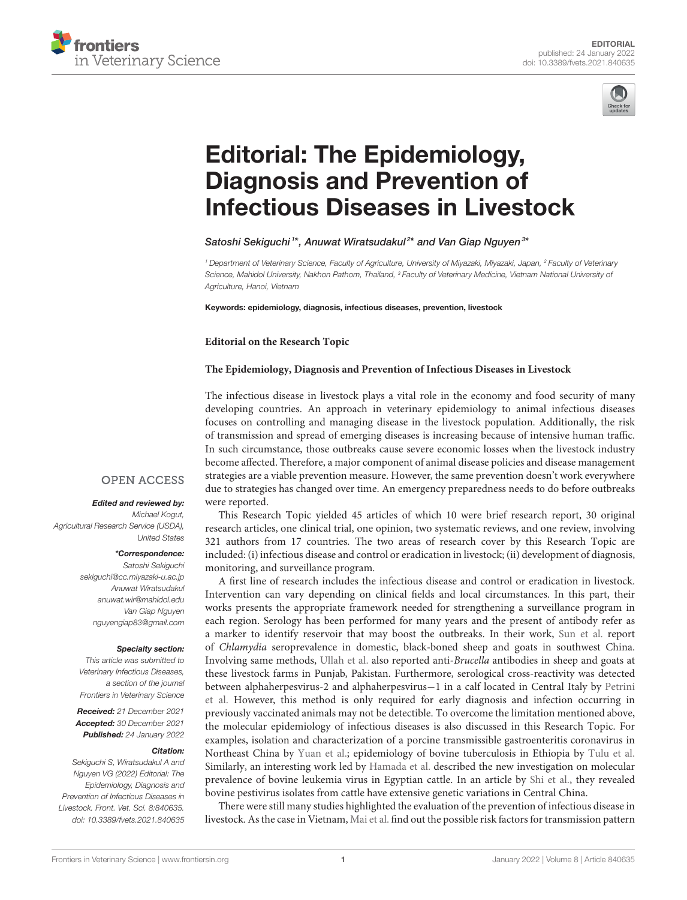



# Editorial: The Epidemiology, [Diagnosis and Prevention of](https://www.frontiersin.org/articles/10.3389/fvets.2021.840635/full) Infectious Diseases in Livestock

## Satoshi Sekiguchi<sup>1\*</sup>, Anuwat Wiratsudakul<sup>2\*</sup> and Van Giap Nguyen<sup>3\*</sup>

*<sup>1</sup> Department of Veterinary Science, Faculty of Agriculture, University of Miyazaki, Miyazaki, Japan, <sup>2</sup> Faculty of Veterinary Science, Mahidol University, Nakhon Pathom, Thailand, <sup>3</sup> Faculty of Veterinary Medicine, Vietnam National University of Agriculture, Hanoi, Vietnam*

Keywords: epidemiology, diagnosis, infectious diseases, prevention, livestock

## **Editorial on the Research Topic**

## **[The Epidemiology, Diagnosis and Prevention of Infectious Diseases in Livestock](https://www.frontiersin.org/research-topics/12251/the-epidemiology-diagnosis-and-prevention-of-infectious-diseases-in-livestock)**

The infectious disease in livestock plays a vital role in the economy and food security of many developing countries. An approach in veterinary epidemiology to animal infectious diseases focuses on controlling and managing disease in the livestock population. Additionally, the risk of transmission and spread of emerging diseases is increasing because of intensive human traffic. In such circumstance, those outbreaks cause severe economic losses when the livestock industry become affected. Therefore, a major component of animal disease policies and disease management strategies are a viable prevention measure. However, the same prevention doesn't work everywhere due to strategies has changed over time. An emergency preparedness needs to do before outbreaks were reported.

This Research Topic yielded 45 articles of which 10 were brief research report, 30 original research articles, one clinical trial, one opinion, two systematic reviews, and one review, involving 321 authors from 17 countries. The two areas of research cover by this Research Topic are included: (i) infectious disease and control or eradication in livestock; (ii) development of diagnosis, monitoring, and surveillance program.

A first line of research includes the infectious disease and control or eradication in livestock. Intervention can vary depending on clinical fields and local circumstances. In this part, their works presents the appropriate framework needed for strengthening a surveillance program in each region. Serology has been performed for many years and the present of antibody refer as a marker to identify reservoir that may boost the outbreaks. In their work, [Sun et al.](https://doi.org/10.3389/fvets.2020.00363) report of Chlamydia seroprevalence in domestic, black-boned sheep and goats in southwest China. Involving same methods, [Ullah et al.](https://doi.org/10.3389/fvets.2020.00526) also reported anti-Brucella antibodies in sheep and goats at these livestock farms in Punjab, Pakistan. Furthermore, serological cross-reactivity was detected between alphaherpesvirus-2 and alphaherpesvirus−1 in a calf located in Central Italy by Petrini et al. [However, this method is only required for early diagnosis and infection occurring in](https://doi.org/10.3389/fvets.2020.587885) previously vaccinated animals may not be detectible. To overcome the limitation mentioned above, the molecular epidemiology of infectious diseases is also discussed in this Research Topic. For examples, isolation and characterization of a porcine transmissible gastroenteritis coronavirus in Northeast China by [Yuan et al.;](https://doi.org/10.3389/fvets.2021.611721) epidemiology of bovine tuberculosis in Ethiopia by [Tulu et al.](https://doi.org/10.3389/fvets.2021.595511) Similarly, an interesting work led by [Hamada et al.](https://doi.org/10.3389/fvets.2020.00608) described the new investigation on molecular prevalence of bovine leukemia virus in Egyptian cattle. In an article by [Shi et al.,](https://doi.org/10.3389/fvets.2020.00197) they revealed bovine pestivirus isolates from cattle have extensive genetic variations in Central China.

There were still many studies highlighted the evaluation of the prevention of infectious disease in livestock. As the case in Vietnam, [Mai et al.](https://doi.org/10.3389/fvets.2020.00433) find out the possible risk factors for transmission pattern

# **OPEN ACCESS**

#### Edited and reviewed by:

*Michael Kogut, Agricultural Research Service (USDA), United States*

#### \*Correspondence:

*Satoshi Sekiguchi [sekiguchi@cc.miyazaki-u.ac.jp](mailto:sekiguchi@cc.miyazaki-u.ac.jp) Anuwat Wiratsudakul [anuwat.wir@mahidol.edu](mailto:anuwat.wir@mahidol.edu) Van Giap Nguyen [nguyengiap83@gmail.com](mailto:nguyengiap83@gmail.com)*

#### Specialty section:

*This article was submitted to Veterinary Infectious Diseases, a section of the journal Frontiers in Veterinary Science*

Received: *21 December 2021* Accepted: *30 December 2021* Published: *24 January 2022*

#### Citation:

*Sekiguchi S, Wiratsudakul A and Nguyen VG (2022) Editorial: The Epidemiology, Diagnosis and Prevention of Infectious Diseases in Livestock. Front. Vet. Sci. 8:840635. doi: [10.3389/fvets.2021.840635](https://doi.org/10.3389/fvets.2021.840635)*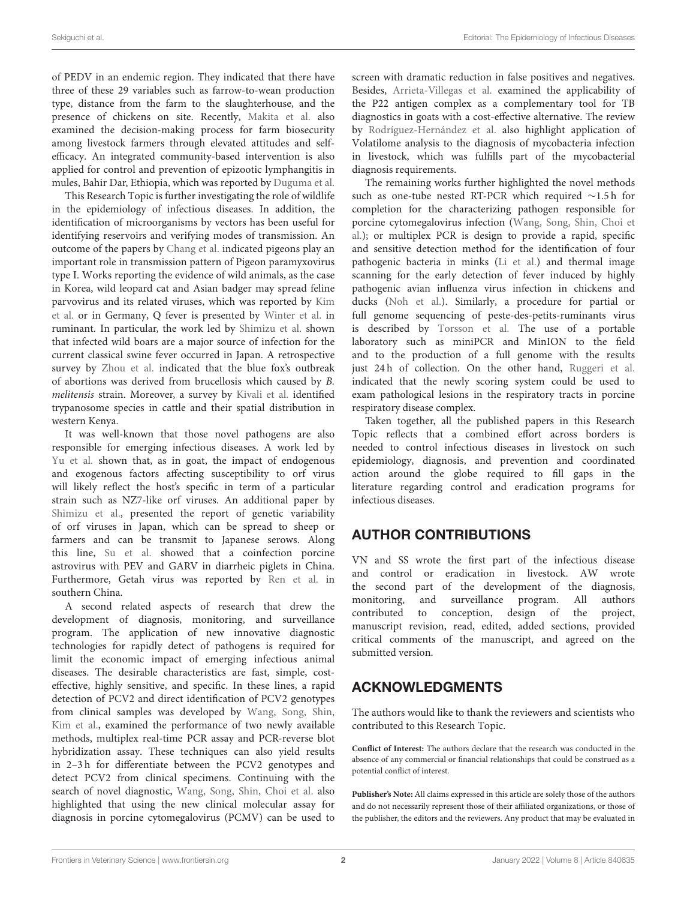of PEDV in an endemic region. They indicated that there have three of these 29 variables such as farrow-to-wean production type, distance from the farm to the slaughterhouse, and the presence of chickens on site. Recently, [Makita et al.](https://doi.org/10.3389/fvets.2020.00614) also examined the decision-making process for farm biosecurity among livestock farmers through elevated attitudes and selfefficacy. An integrated community-based intervention is also applied for control and prevention of epizootic lymphangitis in mules, Bahir Dar, Ethiopia, which was reported by [Duguma et al.](https://doi.org/10.3389/fvets.2021.648267)

This Research Topic is further investigating the role of wildlife in the epidemiology of infectious diseases. In addition, the identification of microorganisms by vectors has been useful for identifying reservoirs and verifying modes of transmission. An outcome of the papers by [Chang et al.](https://doi.org/10.3389/fvets.2020.569901) indicated pigeons play an important role in transmission pattern of Pigeon paramyxovirus type I. Works reporting the evidence of wild animals, as the case in Korea, wild leopard cat and Asian badger may spread feline [parvovirus and its related viruses, which was reported by](https://doi.org/10.3389/fvets.2021.650866) Kim et al. or in Germany, Q fever is presented by [Winter et al.](https://doi.org/10.3389/fvets.2021.623786) in ruminant. In particular, the work led by [Shimizu et al.](https://doi.org/10.3389/fvets.2020.573480) shown that infected wild boars are a major source of infection for the current classical swine fever occurred in Japan. A retrospective survey by [Zhou et al.](https://doi.org/10.3389/fvets.2021.666254) indicated that the blue fox's outbreak of abortions was derived from brucellosis which caused by B. melitensis strain. Moreover, a survey by [Kivali et al.](https://doi.org/10.3389/fvets.2020.00554) identified trypanosome species in cattle and their spatial distribution in western Kenya.

It was well-known that those novel pathogens are also responsible for emerging infectious diseases. A work led by [Yu et al.](https://doi.org/10.3389/fvets.2020.00538) shown that, as in goat, the impact of endogenous and exogenous factors affecting susceptibility to orf virus will likely reflect the host's specific in term of a particular strain such as NZ7-like orf viruses. An additional paper by [Shimizu et al.,](https://doi.org/10.3389/fvets.2020.573480) presented the report of genetic variability of orf viruses in Japan, which can be spread to sheep or farmers and can be transmit to Japanese serows. Along this line, [Su et al.](https://doi.org/10.3389/fvets.2020.00462) showed that a coinfection porcine astrovirus with PEV and GARV in diarrheic piglets in China. Furthermore, Getah virus was reported by [Ren et al.](https://doi.org/10.3389/fvets.2020.552517) in southern China.

A second related aspects of research that drew the development of diagnosis, monitoring, and surveillance program. The application of new innovative diagnostic technologies for rapidly detect of pathogens is required for limit the economic impact of emerging infectious animal diseases. The desirable characteristics are fast, simple, costeffective, highly sensitive, and specific. In these lines, a rapid detection of PCV2 and direct identification of PCV2 genotypes from clinical samples was developed by Wang, Song, Shin, [Kim et al., examined the performance of two newly available](https://doi.org/10.3389/fvets.2020.00200) methods, multiplex real-time PCR assay and PCR-reverse blot hybridization assay. These techniques can also yield results in 2–3 h for differentiate between the PCV2 genotypes and detect PCV2 from clinical specimens. Continuing with the search of novel diagnostic, [Wang, Song, Shin, Choi et al.](https://doi.org/10.3389/fvets.2020.586045) also highlighted that using the new clinical molecular assay for diagnosis in porcine cytomegalovirus (PCMV) can be used to screen with dramatic reduction in false positives and negatives. Besides, [Arrieta-Villegas et al.](https://doi.org/10.3389/fvets.2020.00374) examined the applicability of the P22 antigen complex as a complementary tool for TB diagnostics in goats with a cost-effective alternative. The review by [Rodríguez-Hernández et al.](https://doi.org/10.3389/fvets.2021.635155) also highlight application of Volatilome analysis to the diagnosis of mycobacteria infection in livestock, which was fulfills part of the mycobacterial diagnosis requirements.

The remaining works further highlighted the novel methods such as one-tube nested RT-PCR which required ∼1.5 h for completion for the characterizing pathogen responsible for porcine cytomegalovirus infection (Wang, Song, Shin, Choi et [al.\); or multiplex PCR is design to provide a rapid, specific](https://doi.org/10.3389/fvets.2020.586045) and sensitive detection method for the identification of four pathogenic bacteria in minks [\(Li et al.\)](https://doi.org/10.3389/fvets.2020.588173) and thermal image scanning for the early detection of fever induced by highly pathogenic avian influenza virus infection in chickens and ducks [\(Noh et al.\)](https://doi.org/10.3389/fvets.2021.616755). Similarly, a procedure for partial or full genome sequencing of peste-des-petits-ruminants virus is described by [Torsson et al.](https://doi.org/10.3389/fvets.2020.542724) The use of a portable laboratory such as miniPCR and MinION to the field and to the production of a full genome with the results just 24h of collection. On the other hand, [Ruggeri et al.](https://doi.org/10.3389/fvets.2020.00636) indicated that the newly scoring system could be used to exam pathological lesions in the respiratory tracts in porcine respiratory disease complex.

Taken together, all the published papers in this Research Topic reflects that a combined effort across borders is needed to control infectious diseases in livestock on such epidemiology, diagnosis, and prevention and coordinated action around the globe required to fill gaps in the literature regarding control and eradication programs for infectious diseases.

# AUTHOR CONTRIBUTIONS

VN and SS wrote the first part of the infectious disease and control or eradication in livestock. AW wrote the second part of the development of the diagnosis, monitoring, and surveillance program. All authors contributed to conception, design of the project, manuscript revision, read, edited, added sections, provided critical comments of the manuscript, and agreed on the submitted version.

# ACKNOWLEDGMENTS

The authors would like to thank the reviewers and scientists who contributed to this Research Topic.

**Conflict of Interest:** The authors declare that the research was conducted in the absence of any commercial or financial relationships that could be construed as a potential conflict of interest.

**Publisher's Note:** All claims expressed in this article are solely those of the authors and do not necessarily represent those of their affiliated organizations, or those of the publisher, the editors and the reviewers. Any product that may be evaluated in